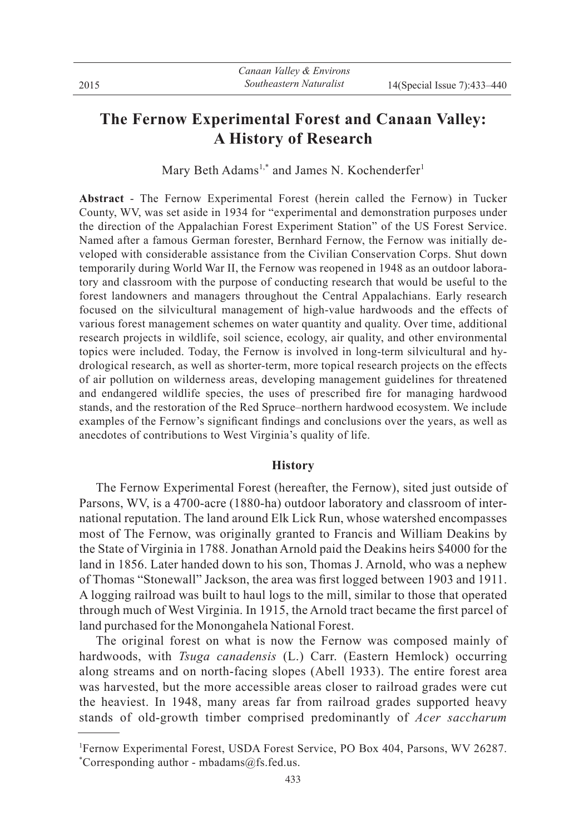# **The Fernow Experimental Forest and Canaan Valley: A History of Research**

Mary Beth Adams<sup>1,\*</sup> and James N. Kochenderfer<sup>1</sup>

**Abstract** - The Fernow Experimental Forest (herein called the Fernow) in Tucker County, WV, was set aside in 1934 for "experimental and demonstration purposes under the direction of the Appalachian Forest Experiment Station" of the US Forest Service. Named after a famous German forester, Bernhard Fernow, the Fernow was initially developed with considerable assistance from the Civilian Conservation Corps. Shut down temporarily during World War II, the Fernow was reopened in 1948 as an outdoor laboratory and classroom with the purpose of conducting research that would be useful to the forest landowners and managers throughout the Central Appalachians. Early research focused on the silvicultural management of high-value hardwoods and the effects of various forest management schemes on water quantity and quality. Over time, additional research projects in wildlife, soil science, ecology, air quality, and other environmental topics were included. Today, the Fernow is involved in long-term silvicultural and hydrological research, as well as shorter-term, more topical research projects on the effects of air pollution on wilderness areas, developing management guidelines for threatened and endangered wildlife species, the uses of prescribed fire for managing hardwood stands, and the restoration of the Red Spruce–northern hardwood ecosystem. We include examples of the Fernow's significant findings and conclusions over the years, as well as anecdotes of contributions to West Virginia's quality of life.

### **History**

 The Fernow Experimental Forest (hereafter, the Fernow), sited just outside of Parsons, WV, is a 4700-acre (1880-ha) outdoor laboratory and classroom of international reputation. The land around Elk Lick Run, whose watershed encompasses most of The Fernow, was originally granted to Francis and William Deakins by the State of Virginia in 1788. Jonathan Arnold paid the Deakins heirs \$4000 for the land in 1856. Later handed down to his son, Thomas J. Arnold, who was a nephew of Thomas "Stonewall" Jackson, the area was first logged between 1903 and 1911. A logging railroad was built to haul logs to the mill, similar to those that operated through much of West Virginia. In 1915, the Arnold tract became the first parcel of land purchased for the Monongahela National Forest.

 The original forest on what is now the Fernow was composed mainly of hardwoods, with *Tsuga canadensis* (L.) Carr. (Eastern Hemlock) occurring along streams and on north-facing slopes (Abell 1933). The entire forest area was harvested, but the more accessible areas closer to railroad grades were cut the heaviest. In 1948, many areas far from railroad grades supported heavy stands of old-growth timber comprised predominantly of *Acer saccharum*

<sup>1</sup> Fernow Experimental Forest, USDA Forest Service, PO Box 404, Parsons, WV 26287. \* Corresponding author - mbadams@fs.fed.us.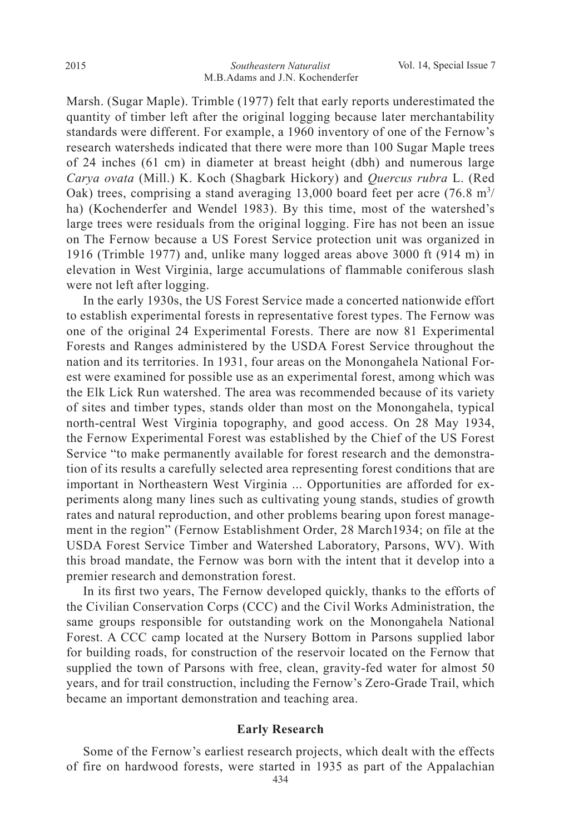Marsh. (Sugar Maple). Trimble (1977) felt that early reports underestimated the quantity of timber left after the original logging because later merchantability standards were different. For example, a 1960 inventory of one of the Fernow's research watersheds indicated that there were more than 100 Sugar Maple trees of 24 inches (61 cm) in diameter at breast height (dbh) and numerous large *Carya ovata* (Mill.) K. Koch (Shagbark Hickory) and *Quercus rubra* L. (Red Oak) trees, comprising a stand averaging 13,000 board feet per acre (76.8 m<sup>3</sup>/ ha) (Kochenderfer and Wendel 1983). By this time, most of the watershed's large trees were residuals from the original logging. Fire has not been an issue on The Fernow because a US Forest Service protection unit was organized in 1916 (Trimble 1977) and, unlike many logged areas above 3000 ft (914 m) in elevation in West Virginia, large accumulations of flammable coniferous slash were not left after logging.

 In the early 1930s, the US Forest Service made a concerted nationwide effort to establish experimental forests in representative forest types. The Fernow was one of the original 24 Experimental Forests. There are now 81 Experimental Forests and Ranges administered by the USDA Forest Service throughout the nation and its territories. In 1931, four areas on the Monongahela National Forest were examined for possible use as an experimental forest, among which was the Elk Lick Run watershed. The area was recommended because of its variety of sites and timber types, stands older than most on the Monongahela, typical north-central West Virginia topography, and good access. On 28 May 1934, the Fernow Experimental Forest was established by the Chief of the US Forest Service "to make permanently available for forest research and the demonstration of its results a carefully selected area representing forest conditions that are important in Northeastern West Virginia ... Opportunities are afforded for experiments along many lines such as cultivating young stands, studies of growth rates and natural reproduction, and other problems bearing upon forest management in the region" (Fernow Establishment Order, 28 March1934; on file at the USDA Forest Service Timber and Watershed Laboratory, Parsons, WV). With this broad mandate, the Fernow was born with the intent that it develop into a premier research and demonstration forest.

 In its first two years, The Fernow developed quickly, thanks to the efforts of the Civilian Conservation Corps (CCC) and the Civil Works Administration, the same groups responsible for outstanding work on the Monongahela National Forest. A CCC camp located at the Nursery Bottom in Parsons supplied labor for building roads, for construction of the reservoir located on the Fernow that supplied the town of Parsons with free, clean, gravity-fed water for almost 50 years, and for trail construction, including the Fernow's Zero-Grade Trail, which became an important demonstration and teaching area.

## **Early Research**

 Some of the Fernow's earliest research projects, which dealt with the effects of fire on hardwood forests, were started in 1935 as part of the Appalachian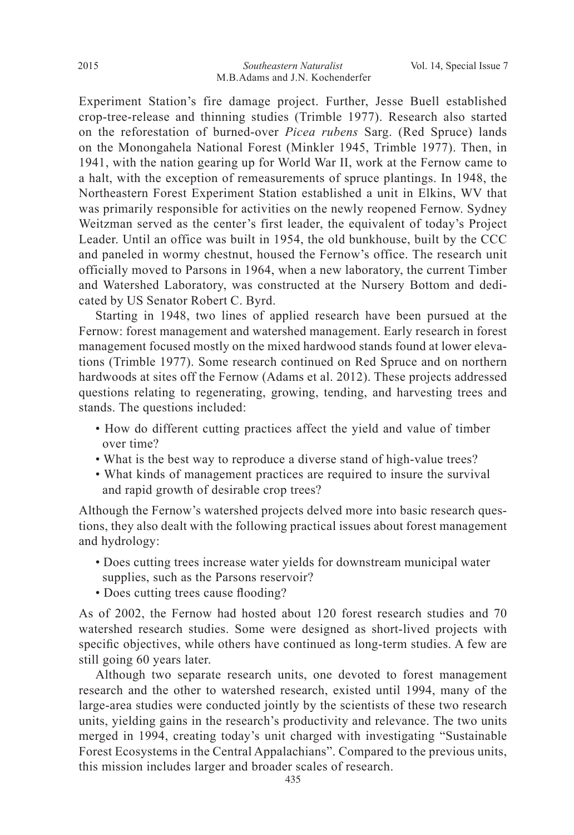#### *Southeastern Naturalist* M.B.Adams and J.N. Kochenderfer 2015 Southeastern Naturalist Vol. 14, Special Issue 7

Experiment Station's fire damage project. Further, Jesse Buell established crop-tree-release and thinning studies (Trimble 1977). Research also started on the reforestation of burned-over *Picea rubens* Sarg. (Red Spruce) lands on the Monongahela National Forest (Minkler 1945, Trimble 1977). Then, in 1941, with the nation gearing up for World War II, work at the Fernow came to a halt, with the exception of remeasurements of spruce plantings. In 1948, the Northeastern Forest Experiment Station established a unit in Elkins, WV that was primarily responsible for activities on the newly reopened Fernow. Sydney Weitzman served as the center's first leader, the equivalent of today's Project Leader. Until an office was built in 1954, the old bunkhouse, built by the CCC and paneled in wormy chestnut, housed the Fernow's office. The research unit officially moved to Parsons in 1964, when a new laboratory, the current Timber and Watershed Laboratory, was constructed at the Nursery Bottom and dedicated by US Senator Robert C. Byrd.

 Starting in 1948, two lines of applied research have been pursued at the Fernow: forest management and watershed management. Early research in forest management focused mostly on the mixed hardwood stands found at lower elevations (Trimble 1977). Some research continued on Red Spruce and on northern hardwoods at sites off the Fernow (Adams et al. 2012). These projects addressed questions relating to regenerating, growing, tending, and harvesting trees and stands. The questions included:

- How do different cutting practices affect the yield and value of timber over time?
- What is the best way to reproduce a diverse stand of high-value trees?
- What kinds of management practices are required to insure the survival and rapid growth of desirable crop trees?

Although the Fernow's watershed projects delved more into basic research questions, they also dealt with the following practical issues about forest management and hydrology:

- Does cutting trees increase water yields for downstream municipal water supplies, such as the Parsons reservoir?
- Does cutting trees cause flooding?

As of 2002, the Fernow had hosted about 120 forest research studies and 70 watershed research studies. Some were designed as short-lived projects with specific objectives, while others have continued as long-term studies. A few are still going 60 years later.

 Although two separate research units, one devoted to forest management research and the other to watershed research, existed until 1994, many of the large-area studies were conducted jointly by the scientists of these two research units, yielding gains in the research's productivity and relevance. The two units merged in 1994, creating today's unit charged with investigating "Sustainable Forest Ecosystems in the Central Appalachians". Compared to the previous units, this mission includes larger and broader scales of research.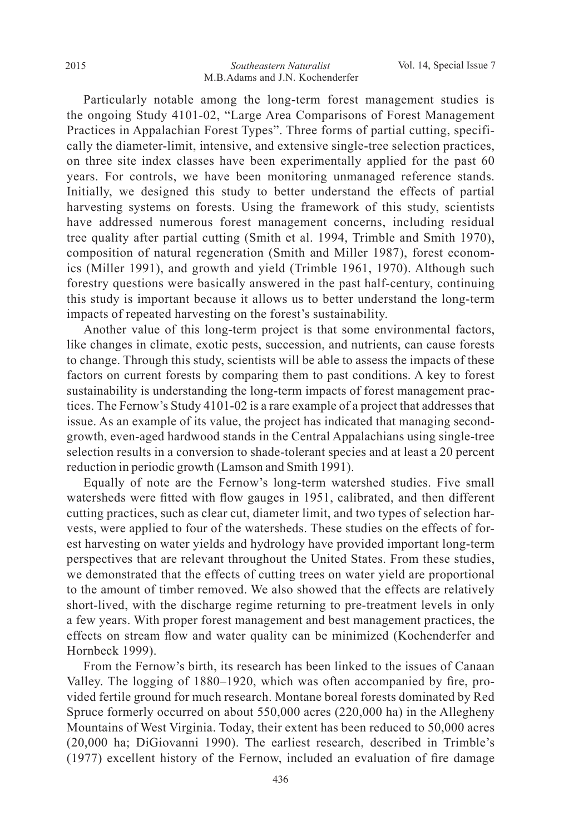Particularly notable among the long-term forest management studies is the ongoing Study 4101-02, "Large Area Comparisons of Forest Management Practices in Appalachian Forest Types". Three forms of partial cutting, specifically the diameter-limit, intensive, and extensive single-tree selection practices, on three site index classes have been experimentally applied for the past 60 years. For controls, we have been monitoring unmanaged reference stands. Initially, we designed this study to better understand the effects of partial harvesting systems on forests. Using the framework of this study, scientists have addressed numerous forest management concerns, including residual tree quality after partial cutting (Smith et al. 1994, Trimble and Smith 1970), composition of natural regeneration (Smith and Miller 1987), forest economics (Miller 1991), and growth and yield (Trimble 1961, 1970). Although such forestry questions were basically answered in the past half-century, continuing this study is important because it allows us to better understand the long-term impacts of repeated harvesting on the forest's sustainability.

 Another value of this long-term project is that some environmental factors, like changes in climate, exotic pests, succession, and nutrients, can cause forests to change. Through this study, scientists will be able to assess the impacts of these factors on current forests by comparing them to past conditions. A key to forest sustainability is understanding the long-term impacts of forest management practices. The Fernow's Study 4101-02 is a rare example of a project that addresses that issue. As an example of its value, the project has indicated that managing secondgrowth, even-aged hardwood stands in the Central Appalachians using single-tree selection results in a conversion to shade-tolerant species and at least a 20 percent reduction in periodic growth (Lamson and Smith 1991).

 Equally of note are the Fernow's long-term watershed studies. Five small watersheds were fitted with flow gauges in 1951, calibrated, and then different cutting practices, such as clear cut, diameter limit, and two types of selection harvests, were applied to four of the watersheds. These studies on the effects of forest harvesting on water yields and hydrology have provided important long-term perspectives that are relevant throughout the United States. From these studies, we demonstrated that the effects of cutting trees on water yield are proportional to the amount of timber removed. We also showed that the effects are relatively short-lived, with the discharge regime returning to pre-treatment levels in only a few years. With proper forest management and best management practices, the effects on stream flow and water quality can be minimized (Kochenderfer and Hornbeck 1999).

 From the Fernow's birth, its research has been linked to the issues of Canaan Valley. The logging of 1880–1920, which was often accompanied by fire, provided fertile ground for much research. Montane boreal forests dominated by Red Spruce formerly occurred on about 550,000 acres (220,000 ha) in the Allegheny Mountains of West Virginia. Today, their extent has been reduced to 50,000 acres (20,000 ha; DiGiovanni 1990). The earliest research, described in Trimble's (1977) excellent history of the Fernow, included an evaluation of fire damage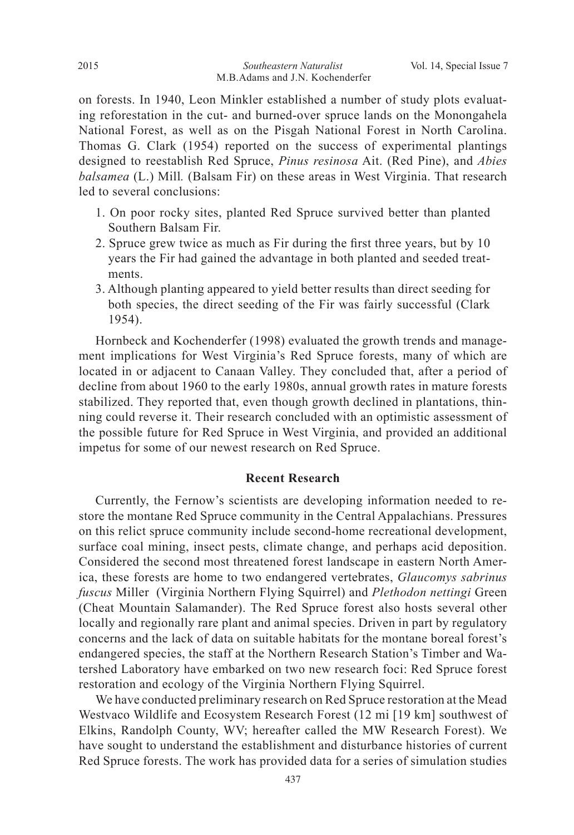on forests. In 1940, Leon Minkler established a number of study plots evaluating reforestation in the cut- and burned-over spruce lands on the Monongahela National Forest, as well as on the Pisgah National Forest in North Carolina. Thomas G. Clark (1954) reported on the success of experimental plantings designed to reestablish Red Spruce, *Pinus resinosa* Ait. (Red Pine), and *Abies balsamea* (L.) Mill*.* (Balsam Fir) on these areas in West Virginia. That research led to several conclusions:

- 1. On poor rocky sites, planted Red Spruce survived better than planted Southern Balsam Fir.
- 2. Spruce grew twice as much as Fir during the first three years, but by 10 years the Fir had gained the advantage in both planted and seeded treatments.
- 3. Although planting appeared to yield better results than direct seeding for both species, the direct seeding of the Fir was fairly successful (Clark 1954).

 Hornbeck and Kochenderfer (1998) evaluated the growth trends and management implications for West Virginia's Red Spruce forests, many of which are located in or adjacent to Canaan Valley. They concluded that, after a period of decline from about 1960 to the early 1980s, annual growth rates in mature forests stabilized. They reported that, even though growth declined in plantations, thinning could reverse it. Their research concluded with an optimistic assessment of the possible future for Red Spruce in West Virginia, and provided an additional impetus for some of our newest research on Red Spruce.

# **Recent Research**

 Currently, the Fernow's scientists are developing information needed to restore the montane Red Spruce community in the Central Appalachians. Pressures on this relict spruce community include second-home recreational development, surface coal mining, insect pests, climate change, and perhaps acid deposition. Considered the second most threatened forest landscape in eastern North America, these forests are home to two endangered vertebrates, *Glaucomys sabrinus fuscus* Miller (Virginia Northern Flying Squirrel) and *Plethodon nettingi* Green (Cheat Mountain Salamander). The Red Spruce forest also hosts several other locally and regionally rare plant and animal species. Driven in part by regulatory concerns and the lack of data on suitable habitats for the montane boreal forest's endangered species, the staff at the Northern Research Station's Timber and Watershed Laboratory have embarked on two new research foci: Red Spruce forest restoration and ecology of the Virginia Northern Flying Squirrel.

 We have conducted preliminary research on Red Spruce restoration at the Mead Westvaco Wildlife and Ecosystem Research Forest (12 mi [19 km] southwest of Elkins, Randolph County, WV; hereafter called the MW Research Forest). We have sought to understand the establishment and disturbance histories of current Red Spruce forests. The work has provided data for a series of simulation studies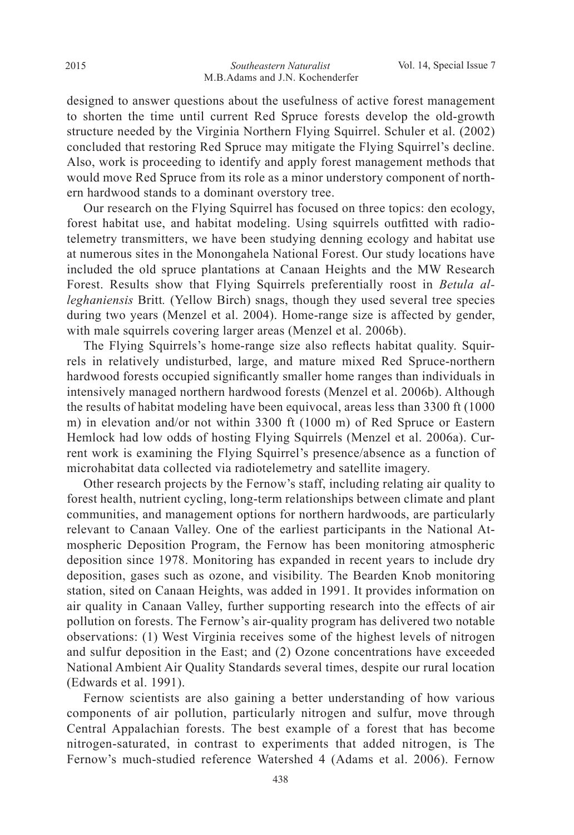designed to answer questions about the usefulness of active forest management to shorten the time until current Red Spruce forests develop the old-growth structure needed by the Virginia Northern Flying Squirrel. Schuler et al. (2002) concluded that restoring Red Spruce may mitigate the Flying Squirrel's decline. Also, work is proceeding to identify and apply forest management methods that would move Red Spruce from its role as a minor understory component of northern hardwood stands to a dominant overstory tree.

 Our research on the Flying Squirrel has focused on three topics: den ecology, forest habitat use, and habitat modeling. Using squirrels outfitted with radiotelemetry transmitters, we have been studying denning ecology and habitat use at numerous sites in the Monongahela National Forest. Our study locations have included the old spruce plantations at Canaan Heights and the MW Research Forest. Results show that Flying Squirrels preferentially roost in *Betula alleghaniensis* Britt*.* (Yellow Birch) snags, though they used several tree species during two years (Menzel et al. 2004). Home-range size is affected by gender, with male squirrels covering larger areas (Menzel et al. 2006b).

 The Flying Squirrels's home-range size also reflects habitat quality. Squirrels in relatively undisturbed, large, and mature mixed Red Spruce-northern hardwood forests occupied significantly smaller home ranges than individuals in intensively managed northern hardwood forests (Menzel et al. 2006b). Although the results of habitat modeling have been equivocal, areas less than 3300 ft (1000 m) in elevation and/or not within 3300 ft (1000 m) of Red Spruce or Eastern Hemlock had low odds of hosting Flying Squirrels (Menzel et al. 2006a). Current work is examining the Flying Squirrel's presence/absence as a function of microhabitat data collected via radiotelemetry and satellite imagery.

 Other research projects by the Fernow's staff, including relating air quality to forest health, nutrient cycling, long-term relationships between climate and plant communities, and management options for northern hardwoods, are particularly relevant to Canaan Valley. One of the earliest participants in the National Atmospheric Deposition Program, the Fernow has been monitoring atmospheric deposition since 1978. Monitoring has expanded in recent years to include dry deposition, gases such as ozone, and visibility. The Bearden Knob monitoring station, sited on Canaan Heights, was added in 1991. It provides information on air quality in Canaan Valley, further supporting research into the effects of air pollution on forests. The Fernow's air-quality program has delivered two notable observations: (1) West Virginia receives some of the highest levels of nitrogen and sulfur deposition in the East; and (2) Ozone concentrations have exceeded National Ambient Air Quality Standards several times, despite our rural location (Edwards et al. 1991).

 Fernow scientists are also gaining a better understanding of how various components of air pollution, particularly nitrogen and sulfur, move through Central Appalachian forests. The best example of a forest that has become nitrogen-saturated, in contrast to experiments that added nitrogen, is The Fernow's much-studied reference Watershed 4 (Adams et al. 2006). Fernow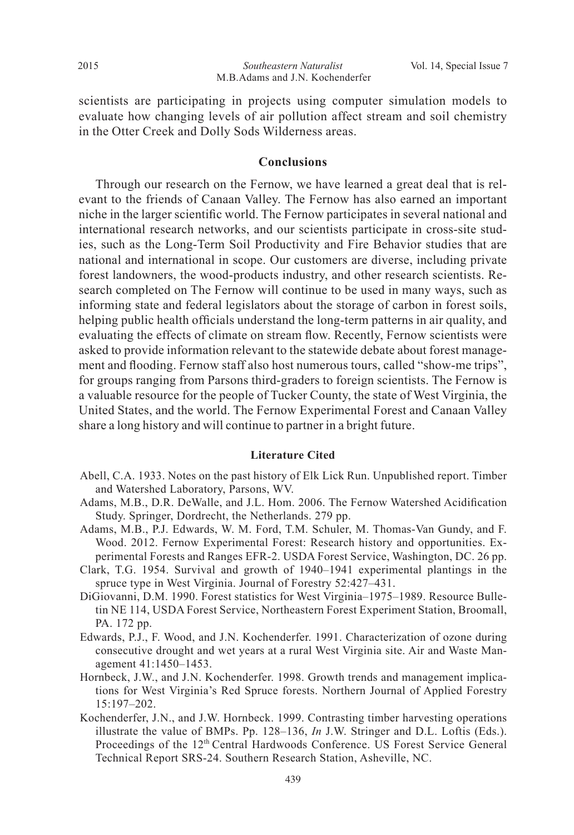scientists are participating in projects using computer simulation models to evaluate how changing levels of air pollution affect stream and soil chemistry in the Otter Creek and Dolly Sods Wilderness areas.

### **Conclusions**

Through our research on the Fernow, we have learned a great deal that is relevant to the friends of Canaan Valley. The Fernow has also earned an important niche in the larger scientific world. The Fernow participates in several national and international research networks, and our scientists participate in cross-site studies, such as the Long-Term Soil Productivity and Fire Behavior studies that are national and international in scope. Our customers are diverse, including private forest landowners, the wood-products industry, and other research scientists. Research completed on The Fernow will continue to be used in many ways, such as informing state and federal legislators about the storage of carbon in forest soils, helping public health officials understand the long-term patterns in air quality, and evaluating the effects of climate on stream flow. Recently, Fernow scientists were asked to provide information relevant to the statewide debate about forest management and flooding. Fernow staff also host numerous tours, called "show-me trips", for groups ranging from Parsons third-graders to foreign scientists. The Fernow is a valuable resource for the people of Tucker County, the state of West Virginia, the United States, and the world. The Fernow Experimental Forest and Canaan Valley share a long history and will continue to partner in a bright future.

## **Literature Cited**

- Abell, C.A. 1933. Notes on the past history of Elk Lick Run. Unpublished report. Timber and Watershed Laboratory, Parsons, WV.
- Adams, M.B., D.R. DeWalle, and J.L. Hom. 2006. The Fernow Watershed Acidification Study. Springer, Dordrecht, the Netherlands. 279 pp.
- Adams, M.B., P.J. Edwards, W. M. Ford, T.M. Schuler, M. Thomas-Van Gundy, and F. Wood. 2012. Fernow Experimental Forest: Research history and opportunities. Experimental Forests and Ranges EFR-2. USDA Forest Service, Washington, DC. 26 pp.
- Clark, T.G. 1954. Survival and growth of 1940–1941 experimental plantings in the spruce type in West Virginia. Journal of Forestry 52:427–431.
- DiGiovanni, D.M. 1990. Forest statistics for West Virginia–1975–1989. Resource Bulletin NE 114, USDA Forest Service, Northeastern Forest Experiment Station, Broomall, PA. 172 pp.
- Edwards, P.J., F. Wood, and J.N. Kochenderfer. 1991. Characterization of ozone during consecutive drought and wet years at a rural West Virginia site. Air and Waste Management 41:1450–1453.
- Hornbeck, J.W., and J.N. Kochenderfer. 1998. Growth trends and management implications for West Virginia's Red Spruce forests. Northern Journal of Applied Forestry 15:197–202.
- Kochenderfer, J.N., and J.W. Hornbeck. 1999. Contrasting timber harvesting operations illustrate the value of BMPs. Pp. 128–136, *In* J.W. Stringer and D.L. Loftis (Eds.). Proceedings of the 12<sup>th</sup> Central Hardwoods Conference. US Forest Service General Technical Report SRS-24. Southern Research Station, Asheville, NC.